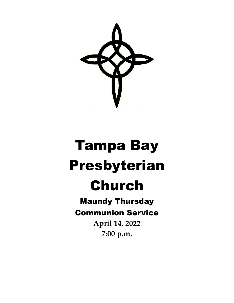

# Tampa Bay Presbyterian

# Church

### Maundy Thursday Communion Service

**April 14, 2022 7:00 p.m.**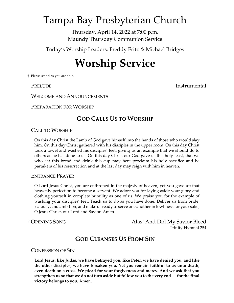### Tampa Bay Presbyterian Church

Thursday, April 14, 2022 at 7:00 p.m. Maundy Thursday Communion Service

Today's Worship Leaders: Freddy Fritz & Michael Bridges

## **Worship Service**

† Please stand as you are able.

PRELUDE **Instrumental** 

WELCOME AND ANNOUNCEMENTS

PREPARATION FOR WORSHIP

#### **GOD CALLS US TO WORSHIP**

CALL TO WORSHIP

On this day Christ the Lamb of God gave himself into the hands of those who would slay him. On this day Christ gathered with his disciples in the upper room. On this day Christ took a towel and washed his disciples' feet, giving us an example that we should do to others as he has done to us. On this day Christ our God gave us this holy feast, that we who eat this bread and drink this cup may here proclaim his holy sacrifice and be partakers of his resurrection and at the last day may reign with him in heaven.

ENTRANCE PRAYER

O Lord Jesus Christ, you are enthroned in the majesty of heaven, yet you gave up that heavenly perfection to become a servant. We adore you for laying aside your glory and clothing yourself in complete humility as one of us. We praise you for the example of washing your disciples' feet. Teach us to do as you have done. Deliver us from pride, jealousy, and ambition, and make us ready to serve one another in lowliness for your sake, O Jesus Christ, our Lord and Savior. Amen.

†OPENING SONG Alas! And Did My Savior Bleed Trinity Hymnal 254

### **GOD CLEANSES US FROM SIN**

CONFESSION OF SIN

**Lord Jesus, like Judas, we have betrayed you; like Peter, we have denied you; and like the other disciples, we have forsaken you. Yet you remain faithful to us unto death, even death on a cross. We plead for your forgiveness and mercy. And we ask that you strengthen us so that we do not turn aside but follow you to the very end — for the final victory belongs to you. Amen.**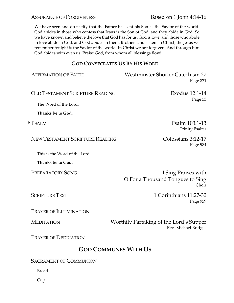ASSURANCE OF FORGIVENESS Based on 1 John 4:14-16

We have seen and do testify that the Father has sent his Son as the Savior of the world. God abides in those who confess that Jesus is the Son of God, and they abide in God. So

we have known and believe the love that God has for us. God is love, and those who abide in love abide in God, and God abides in them. Brothers and sisters in Christ, the Jesus we remember tonight is the Savior of the world. In Christ we are forgiven. And through him God abides with even us. Praise God, from whom all blessings flow!

#### **GOD CONSECRATES US BY HIS WORD**

| <b>AFFIRMATION OF FAITH</b>            | <b>Westminster Shorter Catechism 27</b><br>Page 871              |
|----------------------------------------|------------------------------------------------------------------|
| <b>OLD TESTAMENT SCRIPTURE READING</b> | Exodus 12:1-14                                                   |
| The Word of the Lord.                  | Page 53                                                          |
| Thanks be to God.                      |                                                                  |
| † Psalm                                | Psalm 103:1-13<br><b>Trinity Psalter</b>                         |
| <b>NEW TESTAMENT SCRIPTURE READING</b> | Colossians 3:12-17<br>Page 984                                   |
| This is the Word of the Lord.          |                                                                  |
| Thanks be to God.                      |                                                                  |
| <b>PREPARATORY SONG</b>                | I Sing Praises with<br>O For a Thousand Tongues to Sing<br>Choir |
| <b>SCRIPTURE TEXT</b>                  | 1 Corinthians 11:27-30<br>Page 959                               |
| PRAYER OF ILLUMINATION                 |                                                                  |
| <b>MEDITATION</b>                      | Worthily Partaking of the Lord's Supper<br>Rev. Michael Bridges  |
| <b>PRAYER OF DEDICATION</b>            |                                                                  |
| <b>GOD COMMUNES WITH US</b>            |                                                                  |
| <b>SACRAMENT OF COMMUNION</b>          |                                                                  |

Bread

Cup